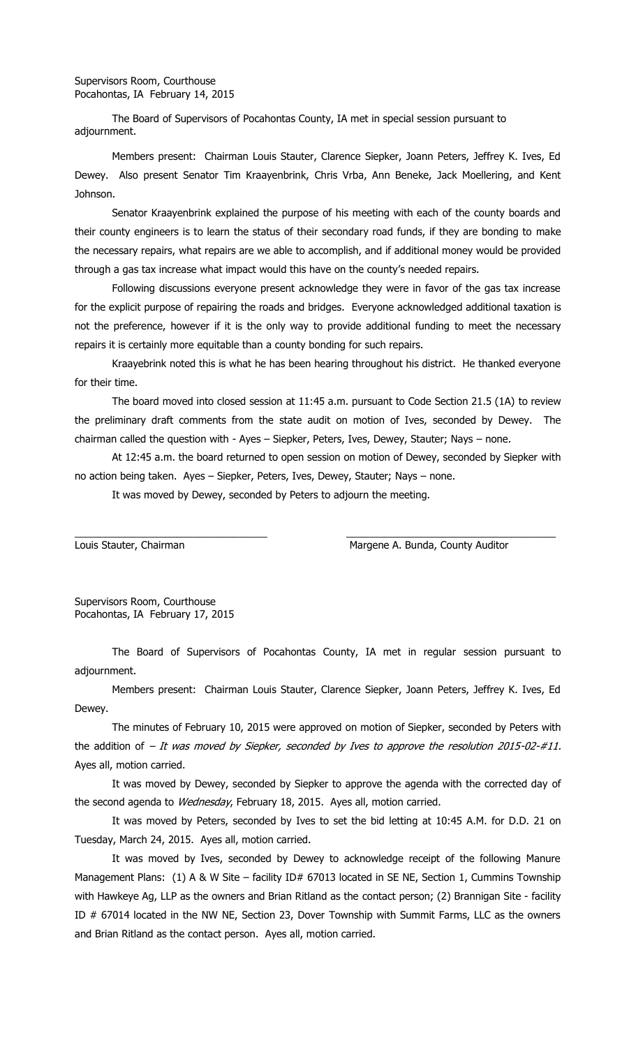The Board of Supervisors of Pocahontas County, IA met in special session pursuant to adjournment.

Members present: Chairman Louis Stauter, Clarence Siepker, Joann Peters, Jeffrey K. Ives, Ed Dewey. Also present Senator Tim Kraayenbrink, Chris Vrba, Ann Beneke, Jack Moellering, and Kent Johnson.

Senator Kraayenbrink explained the purpose of his meeting with each of the county boards and their county engineers is to learn the status of their secondary road funds, if they are bonding to make the necessary repairs, what repairs are we able to accomplish, and if additional money would be provided through a gas tax increase what impact would this have on the county's needed repairs.

Following discussions everyone present acknowledge they were in favor of the gas tax increase for the explicit purpose of repairing the roads and bridges. Everyone acknowledged additional taxation is not the preference, however if it is the only way to provide additional funding to meet the necessary repairs it is certainly more equitable than a county bonding for such repairs.

Kraayebrink noted this is what he has been hearing throughout his district. He thanked everyone for their time.

The board moved into closed session at 11:45 a.m. pursuant to Code Section 21.5 (1A) to review the preliminary draft comments from the state audit on motion of Ives, seconded by Dewey. The chairman called the question with - Ayes – Siepker, Peters, Ives, Dewey, Stauter; Nays – none.

At 12:45 a.m. the board returned to open session on motion of Dewey, seconded by Siepker with no action being taken. Ayes – Siepker, Peters, Ives, Dewey, Stauter; Nays – none.

\_\_\_\_\_\_\_\_\_\_\_\_\_\_\_\_\_\_\_\_\_\_\_\_\_\_\_\_\_\_\_\_\_\_ \_\_\_\_\_\_\_\_\_\_\_\_\_\_\_\_\_\_\_\_\_\_\_\_\_\_\_\_\_\_\_\_\_\_\_\_\_

It was moved by Dewey, seconded by Peters to adjourn the meeting.

Louis Stauter, Chairman Margene A. Bunda, County Auditor

Supervisors Room, Courthouse Pocahontas, IA February 17, 2015

The Board of Supervisors of Pocahontas County, IA met in regular session pursuant to adjournment.

Members present: Chairman Louis Stauter, Clarence Siepker, Joann Peters, Jeffrey K. Ives, Ed Dewey.

The minutes of February 10, 2015 were approved on motion of Siepker, seconded by Peters with the addition of  $-$  It was moved by Siepker, seconded by Ives to approve the resolution 2015-02-#11. Ayes all, motion carried.

It was moved by Dewey, seconded by Siepker to approve the agenda with the corrected day of the second agenda to Wednesday, February 18, 2015. Ayes all, motion carried.

It was moved by Peters, seconded by Ives to set the bid letting at 10:45 A.M. for D.D. 21 on Tuesday, March 24, 2015. Ayes all, motion carried.

It was moved by Ives, seconded by Dewey to acknowledge receipt of the following Manure Management Plans: (1) A & W Site – facility ID# 67013 located in SE NE, Section 1, Cummins Township with Hawkeye Ag, LLP as the owners and Brian Ritland as the contact person; (2) Brannigan Site - facility ID # 67014 located in the NW NE, Section 23, Dover Township with Summit Farms, LLC as the owners and Brian Ritland as the contact person. Ayes all, motion carried.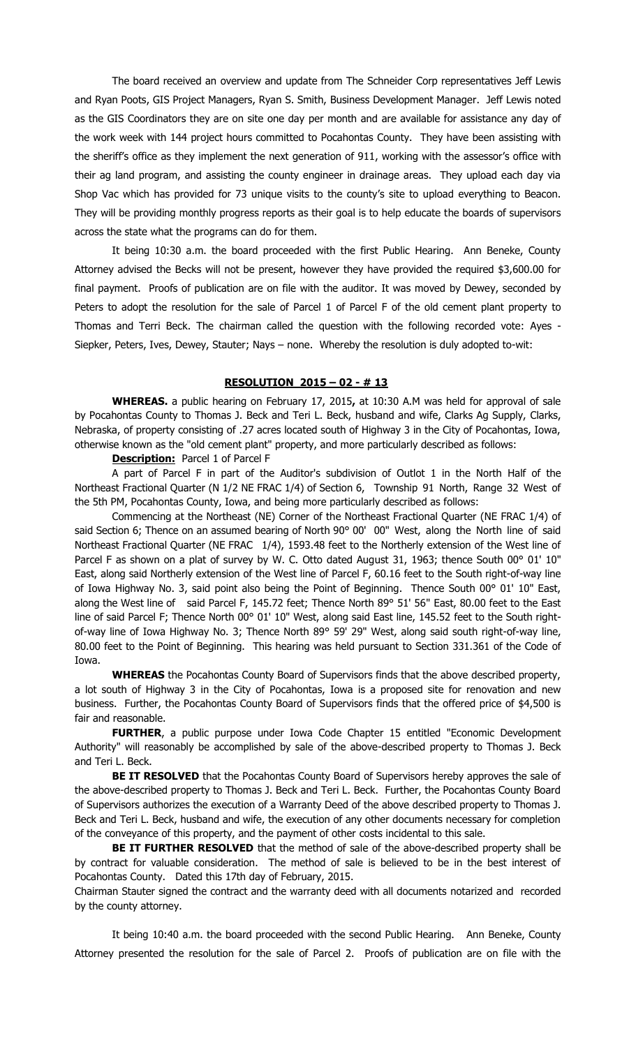The board received an overview and update from The Schneider Corp representatives Jeff Lewis and Ryan Poots, GIS Project Managers, Ryan S. Smith, Business Development Manager. Jeff Lewis noted as the GIS Coordinators they are on site one day per month and are available for assistance any day of the work week with 144 project hours committed to Pocahontas County. They have been assisting with the sheriff's office as they implement the next generation of 911, working with the assessor's office with their ag land program, and assisting the county engineer in drainage areas. They upload each day via Shop Vac which has provided for 73 unique visits to the county's site to upload everything to Beacon. They will be providing monthly progress reports as their goal is to help educate the boards of supervisors across the state what the programs can do for them.

It being 10:30 a.m. the board proceeded with the first Public Hearing. Ann Beneke, County Attorney advised the Becks will not be present, however they have provided the required \$3,600.00 for final payment. Proofs of publication are on file with the auditor. It was moved by Dewey, seconded by Peters to adopt the resolution for the sale of Parcel 1 of Parcel F of the old cement plant property to Thomas and Terri Beck. The chairman called the question with the following recorded vote: Ayes - Siepker, Peters, Ives, Dewey, Stauter; Nays – none. Whereby the resolution is duly adopted to-wit:

## **RESOLUTION 2015 – 02 - # 13**

**WHEREAS.** a public hearing on February 17, 2015**,** at 10:30 A.M was held for approval of sale by Pocahontas County to Thomas J. Beck and Teri L. Beck, husband and wife, Clarks Ag Supply, Clarks, Nebraska, of property consisting of .27 acres located south of Highway 3 in the City of Pocahontas, Iowa, otherwise known as the "old cement plant" property, and more particularly described as follows:

**Description:** Parcel 1 of Parcel F

A part of Parcel F in part of the Auditor's subdivision of Outlot 1 in the North Half of the Northeast Fractional Quarter (N 1/2 NE FRAC 1/4) of Section 6, Township 91 North, Range 32 West of the 5th PM, Pocahontas County, Iowa, and being more particularly described as follows:

Commencing at the Northeast (NE) Corner of the Northeast Fractional Quarter (NE FRAC 1/4) of said Section 6; Thence on an assumed bearing of North 90° 00' 00" West, along the North line of said Northeast Fractional Quarter (NE FRAC 1/4), 1593.48 feet to the Northerly extension of the West line of Parcel F as shown on a plat of survey by W. C. Otto dated August 31, 1963; thence South 00° 01' 10" East, along said Northerly extension of the West line of Parcel F, 60.16 feet to the South right-of-way line of Iowa Highway No. 3, said point also being the Point of Beginning. Thence South 00° 01' 10" East, along the West line of said Parcel F, 145.72 feet; Thence North 89° 51' 56" East, 80.00 feet to the East line of said Parcel F; Thence North 00° 01' 10" West, along said East line, 145.52 feet to the South rightof-way line of Iowa Highway No. 3; Thence North 89° 59' 29" West, along said south right-of-way line, 80.00 feet to the Point of Beginning. This hearing was held pursuant to Section 331.361 of the Code of Iowa.

**WHEREAS** the Pocahontas County Board of Supervisors finds that the above described property, a lot south of Highway 3 in the City of Pocahontas, Iowa is a proposed site for renovation and new business. Further, the Pocahontas County Board of Supervisors finds that the offered price of \$4,500 is fair and reasonable.

**FURTHER**, a public purpose under Iowa Code Chapter 15 entitled "Economic Development Authority" will reasonably be accomplished by sale of the above-described property to Thomas J. Beck and Teri L. Beck.

**BE IT RESOLVED** that the Pocahontas County Board of Supervisors hereby approves the sale of the above-described property to Thomas J. Beck and Teri L. Beck. Further, the Pocahontas County Board of Supervisors authorizes the execution of a Warranty Deed of the above described property to Thomas J. Beck and Teri L. Beck, husband and wife, the execution of any other documents necessary for completion of the conveyance of this property, and the payment of other costs incidental to this sale.

**BE IT FURTHER RESOLVED** that the method of sale of the above-described property shall be by contract for valuable consideration. The method of sale is believed to be in the best interest of Pocahontas County. Dated this 17th day of February, 2015.

Chairman Stauter signed the contract and the warranty deed with all documents notarized and recorded by the county attorney.

It being 10:40 a.m. the board proceeded with the second Public Hearing. Ann Beneke, County Attorney presented the resolution for the sale of Parcel 2. Proofs of publication are on file with the